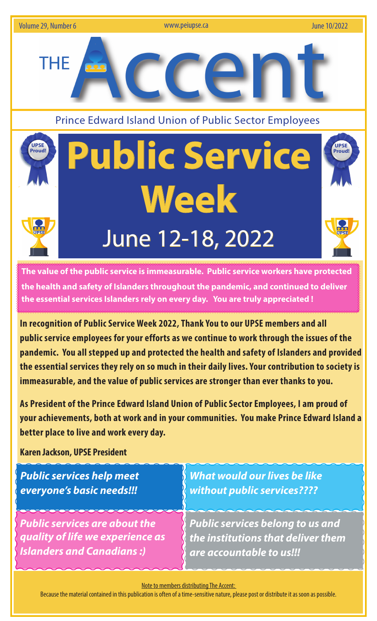

**The value of the public service is immeasurable. Public service workers have protected the health and safety of Islanders throughout the pandemic, and continued to deliver the essential services Islanders rely on every day. You are truly appreciated !** 

**In recognition of Public Service Week 2022, Thank You to our UPSE members and all public service employees for your efforts as we continue to work through the issues of the pandemic. You all stepped up and protected the health and safety of Islanders and provided the essential services they rely on so much in their daily lives. Your contribution to society is immeasurable, and the value of public services are stronger than ever thanks to you.** 

**As President of the Prince Edward Island Union of Public Sector Employees, I am proud of your achievements, both at work and in your communities. You make Prince Edward Island a better place to live and work every day.**

**Karen Jackson, UPSE President**

| <b>Public services help meet</b>     | <b>What would our lives be like</b>     |
|--------------------------------------|-----------------------------------------|
| everyone's basic needs!!!            | without public services????             |
| <b>Public services are about the</b> | <b>Public services belong to us and</b> |
| quality of life we experience as     | the institutions that deliver them      |
| <b>Islanders and Canadians:)</b>     | are accountable to us!!!                |

Note to members distributing The Accent:

Because the material contained in this publication is often of a time-sensitive nature, please post or distribute it as soon as possible.